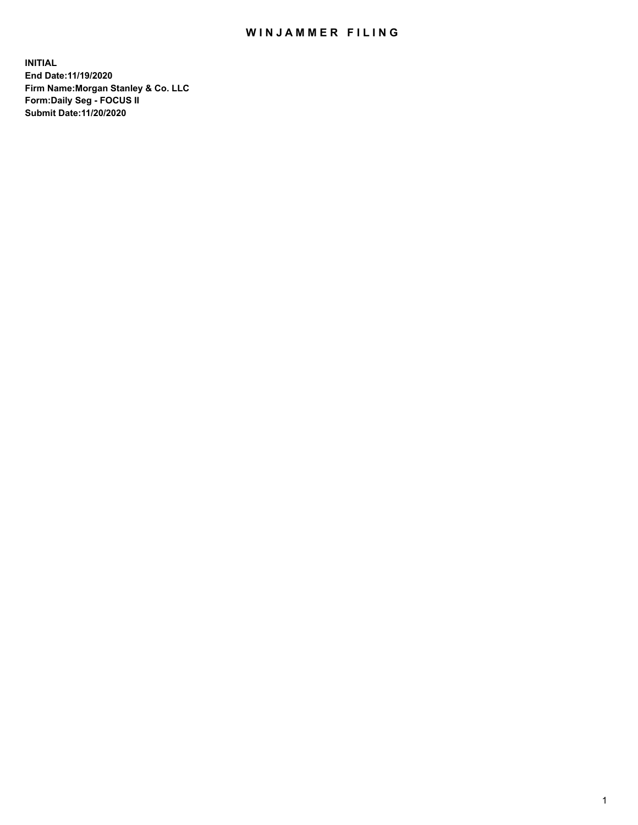## WIN JAMMER FILING

**INITIAL End Date:11/19/2020 Firm Name:Morgan Stanley & Co. LLC Form:Daily Seg - FOCUS II Submit Date:11/20/2020**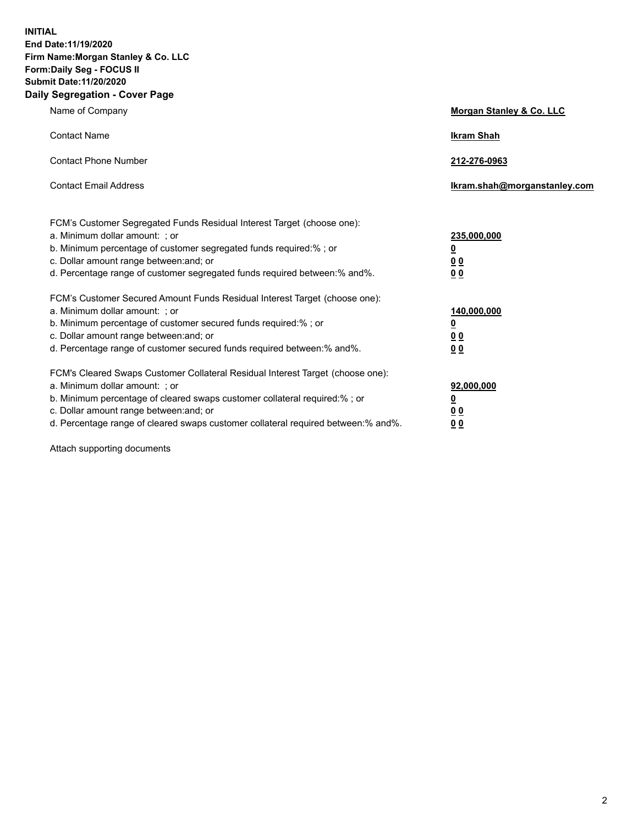**INITIAL End Date:11/19/2020 Firm Name:Morgan Stanley & Co. LLC Form:Daily Seg - FOCUS II Submit Date:11/20/2020 Daily Segregation - Cover Page**

| Name of Company                                                                                                                                                                                                                                                                                                                | <b>Morgan Stanley &amp; Co. LLC</b>                         |  |
|--------------------------------------------------------------------------------------------------------------------------------------------------------------------------------------------------------------------------------------------------------------------------------------------------------------------------------|-------------------------------------------------------------|--|
| <b>Contact Name</b>                                                                                                                                                                                                                                                                                                            | <b>Ikram Shah</b>                                           |  |
| <b>Contact Phone Number</b>                                                                                                                                                                                                                                                                                                    | 212-276-0963                                                |  |
| <b>Contact Email Address</b>                                                                                                                                                                                                                                                                                                   | Ikram.shah@morganstanley.com                                |  |
| FCM's Customer Segregated Funds Residual Interest Target (choose one):<br>a. Minimum dollar amount: ; or<br>b. Minimum percentage of customer segregated funds required:%; or<br>c. Dollar amount range between: and; or<br>d. Percentage range of customer segregated funds required between:% and%.                          | 235,000,000<br><u>0</u><br>0 <sub>0</sub><br>0 <sub>0</sub> |  |
| FCM's Customer Secured Amount Funds Residual Interest Target (choose one):<br>a. Minimum dollar amount: ; or<br>b. Minimum percentage of customer secured funds required:%; or<br>c. Dollar amount range between: and; or<br>d. Percentage range of customer secured funds required between:% and%.                            | 140,000,000<br><u>0</u><br>0 <sub>0</sub><br>0 <sub>0</sub> |  |
| FCM's Cleared Swaps Customer Collateral Residual Interest Target (choose one):<br>a. Minimum dollar amount: ; or<br>b. Minimum percentage of cleared swaps customer collateral required:% ; or<br>c. Dollar amount range between: and; or<br>d. Percentage range of cleared swaps customer collateral required between:% and%. | 92,000,000<br><u>0</u><br><u>00</u><br>00                   |  |

Attach supporting documents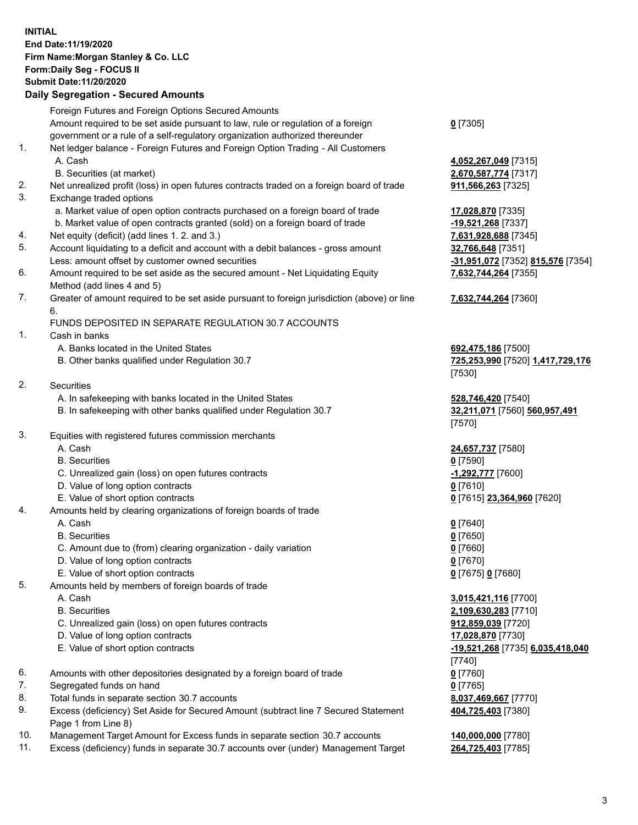## **INITIAL End Date:11/19/2020 Firm Name:Morgan Stanley & Co. LLC Form:Daily Seg - FOCUS II Submit Date:11/20/2020**

## **Daily Segregation - Secured Amounts**

|          | Foreign Futures and Foreign Options Secured Amounts                                                                                                              |                              |
|----------|------------------------------------------------------------------------------------------------------------------------------------------------------------------|------------------------------|
|          | Amount required to be set aside pursuant to law, rule or regulation of a foreign<br>government or a rule of a self-regulatory organization authorized thereunder | $0$ [7305]                   |
| 1.       | Net ledger balance - Foreign Futures and Foreign Option Trading - All Customers                                                                                  |                              |
|          | A. Cash                                                                                                                                                          | 4,052,267,049 [7315]         |
|          | B. Securities (at market)                                                                                                                                        | 2,670,587,774 [7317]         |
| 2.       | Net unrealized profit (loss) in open futures contracts traded on a foreign board of trade                                                                        | 911,566,263 [7325]           |
| 3.       | Exchange traded options                                                                                                                                          |                              |
|          | a. Market value of open option contracts purchased on a foreign board of trade                                                                                   | 17,028,870 [7335]            |
|          | b. Market value of open contracts granted (sold) on a foreign board of trade                                                                                     | -19,521,268 [7337]           |
| 4.       | Net equity (deficit) (add lines 1.2. and 3.)                                                                                                                     | 7,631,928,688 [7345]         |
| 5.       | Account liquidating to a deficit and account with a debit balances - gross amount                                                                                | 32,766,648 [7351]            |
|          | Less: amount offset by customer owned securities                                                                                                                 | <u>-31,951,072</u> [7352] 81 |
| 6.       | Amount required to be set aside as the secured amount - Net Liquidating Equity                                                                                   | 7,632,744,264 [7355]         |
|          | Method (add lines 4 and 5)                                                                                                                                       |                              |
| 7.       | Greater of amount required to be set aside pursuant to foreign jurisdiction (above) or line                                                                      | 7,632,744,264 [7360]         |
|          | 6.                                                                                                                                                               |                              |
|          | FUNDS DEPOSITED IN SEPARATE REGULATION 30.7 ACCOUNTS                                                                                                             |                              |
| 1.       | Cash in banks                                                                                                                                                    |                              |
|          | A. Banks located in the United States                                                                                                                            | 692,475,186 [7500]           |
|          | B. Other banks qualified under Regulation 30.7                                                                                                                   | 725,253,990 [7520] 1         |
|          |                                                                                                                                                                  | [7530]                       |
| 2.       | Securities                                                                                                                                                       |                              |
|          | A. In safekeeping with banks located in the United States                                                                                                        | 528,746,420 [7540]           |
|          | B. In safekeeping with other banks qualified under Regulation 30.7                                                                                               | 32,211,071 [7560] 56         |
|          |                                                                                                                                                                  | [7570]                       |
| 3.       | Equities with registered futures commission merchants                                                                                                            |                              |
|          | A. Cash                                                                                                                                                          | 24,657,737 [7580]            |
|          | <b>B.</b> Securities                                                                                                                                             | $0$ [7590]                   |
|          | C. Unrealized gain (loss) on open futures contracts                                                                                                              | -1,292,777 [7600]            |
|          | D. Value of long option contracts                                                                                                                                | $0$ [7610]                   |
|          | E. Value of short option contracts                                                                                                                               | 0 [7615] 23,364,960 [        |
| 4.       | Amounts held by clearing organizations of foreign boards of trade                                                                                                |                              |
|          | A. Cash                                                                                                                                                          | $0$ [7640]                   |
|          | <b>B.</b> Securities                                                                                                                                             | $0$ [7650]                   |
|          | C. Amount due to (from) clearing organization - daily variation                                                                                                  | $0$ [7660]                   |
|          | D. Value of long option contracts                                                                                                                                | $0$ [7670]                   |
|          | E. Value of short option contracts                                                                                                                               | 0 [7675] 0 [7680]            |
| 5.       | Amounts held by members of foreign boards of trade                                                                                                               |                              |
|          | A. Cash                                                                                                                                                          | 3,015,421,116 [7700]         |
|          | <b>B.</b> Securities                                                                                                                                             | 2,109,630,283 [7710]         |
|          | C. Unrealized gain (loss) on open futures contracts                                                                                                              | 912,859,039 [7720]           |
|          | D. Value of long option contracts                                                                                                                                | 17,028,870 [7730]            |
|          | E. Value of short option contracts                                                                                                                               | -19,521,268 [7735] 6,        |
|          |                                                                                                                                                                  | [7740]                       |
| 6.       | Amounts with other depositories designated by a foreign board of trade                                                                                           | $0$ [7760]                   |
| 7.<br>8. | Segregated funds on hand                                                                                                                                         | $0$ [7765]                   |
| 9.       | Total funds in separate section 30.7 accounts                                                                                                                    | 8,037,469,667 [7770]         |
|          | Excess (deficiency) Set Aside for Secured Amount (subtract line 7 Secured Statement<br>Page 1 from Line 8)                                                       | 404,725,403 [7380]           |
|          |                                                                                                                                                                  |                              |

- 10. Management Target Amount for Excess funds in separate section 30.7 accounts **140,000,000** [7780]
- 11. Excess (deficiency) funds in separate 30.7 accounts over (under) Management Target **264,725,403** [7785]

 A. Cash **4,052,267,049** [7315] **587,774** [7317] **1, 268** [7337] Less: amount offset by customer owned securities **-31,951,072** [7352] **815,576** [7354]

## **7,632,744,264** [7360]

8. **186** [7500] B. Other banks qualified under Regulation 30.7 **725,253,990** [7520] **1,417,729,176**

**6,420** [7540] B. 1071 [7560] **560,957,491** 

E. Value of short option contracts **0** [7615] **23,364,960** [7620]

 A. Cash **3,015,421,116** [7700] **630,283** [7710]  $69,039$  [7720] E. Value of short option contracts **-19,521,268** [7735] **6,035,418,040 404,725,403** [7380]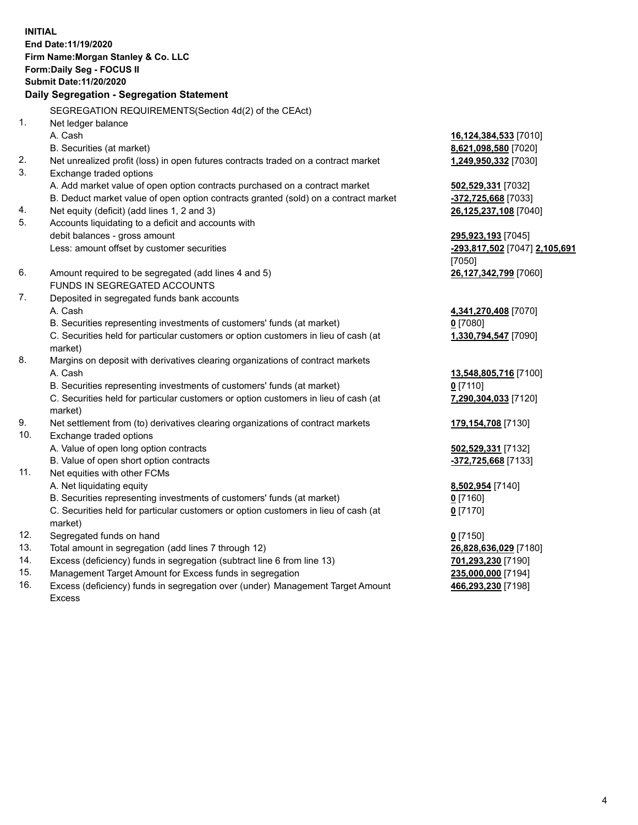**INITIAL End Date:11/19/2020 Firm Name:Morgan Stanley & Co. LLC Form:Daily Seg - FOCUS II Submit Date:11/20/2020 Daily Segregation - Segregation Statement** SEGREGATION REQUIREMENTS(Section 4d(2) of the CEAct) 1. Net ledger balance A. Cash **16,124,384,533** [7010] B. Securities (at market) **8,621,098,580** [7020] 2. Net unrealized profit (loss) in open futures contracts traded on a contract market **1,249,950,332** [7030] 3. Exchange traded options A. Add market value of open option contracts purchased on a contract market **502,529,331** [7032] B. Deduct market value of open option contracts granted (sold) on a contract market **-372,725,668** [7033] 4. Net equity (deficit) (add lines 1, 2 and 3) **26,125,237,108** [7040] 5. Accounts liquidating to a deficit and accounts with debit balances - gross amount **295,923,193** [7045] Less: amount offset by customer securities **-293,817,502** [7047] **2,105,691** [7050] 6. Amount required to be segregated (add lines 4 and 5) **26,127,342,799** [7060] FUNDS IN SEGREGATED ACCOUNTS 7. Deposited in segregated funds bank accounts A. Cash **4,341,270,408** [7070] B. Securities representing investments of customers' funds (at market) **0** [7080] C. Securities held for particular customers or option customers in lieu of cash (at market) **1,330,794,547** [7090] 8. Margins on deposit with derivatives clearing organizations of contract markets A. Cash **13,548,805,716** [7100] B. Securities representing investments of customers' funds (at market) **0** [7110] C. Securities held for particular customers or option customers in lieu of cash (at market) **7,290,304,033** [7120] 9. Net settlement from (to) derivatives clearing organizations of contract markets **179,154,708** [7130] 10. Exchange traded options A. Value of open long option contracts **502,529,331** [7132] B. Value of open short option contracts **-372,725,668** [7133] 11. Net equities with other FCMs A. Net liquidating equity **8,502,954** [7140] B. Securities representing investments of customers' funds (at market) **0** [7160] C. Securities held for particular customers or option customers in lieu of cash (at market) **0** [7170] 12. Segregated funds on hand **0** [7150] 13. Total amount in segregation (add lines 7 through 12) **26,828,636,029** [7180] 14. Excess (deficiency) funds in segregation (subtract line 6 from line 13) **701,293,230** [7190]

- 15. Management Target Amount for Excess funds in segregation **235,000,000** [7194]
- 16. Excess (deficiency) funds in segregation over (under) Management Target Amount Excess

**466,293,230** [7198]